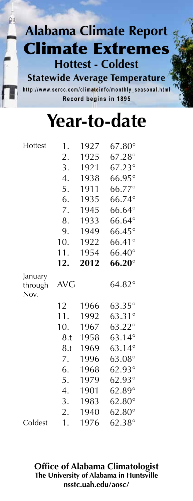**Statewide Average Temperature** http://www.sercc.com/climateinfo/monthly\_seasonal.html **Record begins in 1895**

# **Year-to-date**

| Hottest         | 1.         | 1927 | $67.80^\circ$                  |
|-----------------|------------|------|--------------------------------|
|                 | 2.         | 1925 | $67.28^\circ$                  |
|                 | 3.         | 1921 | $67.23^{\circ}$                |
|                 | 4.         | 1938 | $66.95^\circ$                  |
|                 | 5.         | 1911 | 66.77°                         |
|                 | 6.         | 1935 | 66.74°                         |
|                 | 7.         | 1945 | $66.64^{\circ}$                |
|                 | 8.         | 1933 | $66.64^\circ$                  |
|                 | 9.         | 1949 | $66.45^\circ$                  |
|                 | 10.        | 1922 | $66.41^\circ$                  |
|                 | 11.        | 1954 | $66.40^\circ$                  |
|                 | 12.        | 2012 | $66.20^\circ$                  |
| January         |            |      |                                |
| through<br>Nov. | <b>AVG</b> |      | $64.82^\circ$                  |
|                 | 12         | 1966 | $63.35^\circ$                  |
|                 | 11.        | 1992 | $63.31^{\circ}$                |
|                 | 10.        | 1967 | $63.22^\circ$                  |
|                 | 8.t        | 1958 | $63.14^{\circ}$                |
|                 | 8.t        | 1969 | $63.14^\circ$                  |
|                 | 7.         | 1996 | $63.08^\circ$                  |
|                 | 6.         | 1968 | $62.93^\circ$                  |
|                 | 5.         | 1979 | $62.93^\circ$                  |
|                 | 4.         | 1901 | $62.89^\circ$                  |
|                 | 3.         | 1983 | $62.80^\circ$                  |
|                 | 2.         | 1940 | $62.80^\circ$<br>$62.38^\circ$ |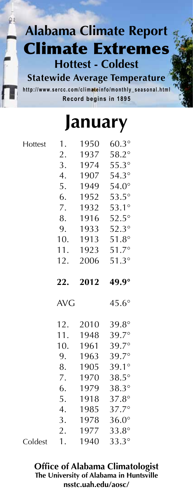**Statewide Average Temperature** http://www.sercc.com/climateinfo/monthly\_seasonal.html **Record begins in 1895**

### **January**

| Hottest | 1.         | 1950 | $60.3^\circ$   |
|---------|------------|------|----------------|
|         | 2.         | 1937 | $58.2^\circ$   |
|         | 3.         | 1974 | $55.3^\circ$   |
|         | 4.         | 1907 | $54.3^\circ$   |
|         | 5.         | 1949 | $54.0^\circ$   |
|         | 6.         | 1952 | $53.5^\circ$   |
|         | 7.         | 1932 | $53.1^{\circ}$ |
|         | 8.         | 1916 | $52.5^\circ$   |
|         | 9.         | 1933 | $52.3^\circ$   |
|         | 10.        | 1913 | $51.8^\circ$   |
|         | 11.        | 1923 | $51.7^\circ$   |
|         | 12.        | 2006 | $51.3^\circ$   |
|         | 22.        | 2012 | 49.9°          |
|         |            |      |                |
|         | <b>AVG</b> |      | $45.6^\circ$   |
|         | 12.        | 2010 | $39.8^\circ$   |
|         | 11.        | 1948 | 39.7°          |
|         | 10.        | 1961 | 39.7°          |
|         | 9.         | 1963 | $39.7^\circ$   |
|         | 8.         | 1905 | $39.1^\circ$   |
|         | 7.         | 1970 | $38.5^\circ$   |
|         | 6.         | 1979 | $38.3^\circ$   |
|         | 5.         | 1918 | $37.8^\circ$   |
|         | 4.         | 1985 | 37.7°          |
|         | 3.         | 1978 | $36.0^\circ$   |
|         | 2.         | 1977 | $33.8^\circ$   |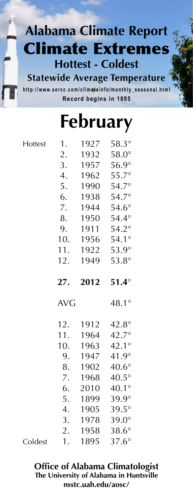**Statewide Average Temperature** http://www.sercc.com/climateinfo/monthly\_seasonal.html **Record begins in 1895**

# **February**

| Hottest | 1.         | 1927 | $58.3^\circ$                 |
|---------|------------|------|------------------------------|
|         | 2.         | 1932 | $58.0^\circ$                 |
|         | 3.         | 1957 | $56.9^\circ$                 |
|         | 4.         | 1962 | $55.7^\circ$                 |
|         | 5.         | 1990 | $54.7^\circ$                 |
|         | 6.         | 1938 | $54.7^\circ$                 |
|         | 7.         | 1944 | $54.6^\circ$                 |
|         | 8.         | 1950 | $54.4^\circ$                 |
|         | 9.         | 1911 | $54.2^\circ$                 |
|         | 10.        | 1956 | $54.1^\circ$                 |
|         | 11.        | 1922 | 53.9°                        |
|         | 12.        | 1949 | $53.8^\circ$                 |
|         | 27.        | 2012 | $51.4^\circ$                 |
|         | <b>AVG</b> |      | $48.1^{\circ}$               |
|         |            |      |                              |
|         | 12.        | 1912 | $42.8^\circ$                 |
|         | 11.        | 1964 | $42.7^{\circ}$               |
|         | 10.        | 1963 | $42.1^{\circ}$               |
|         | 9.         | 1947 | 41.9°                        |
|         | 8.         | 1902 | $40.6^\circ$                 |
|         | 7.         | 1968 | $40.5^\circ$                 |
|         | 6.         | 2010 | $40.1^\circ$                 |
|         | 5.         | 1899 | $39.9^\circ$                 |
|         | 4.         | 1905 | $39.5^\circ$                 |
|         | 3.         | 1978 | $39.0^\circ$                 |
|         | 2.         | 1958 | $38.6^\circ$<br>$37.6^\circ$ |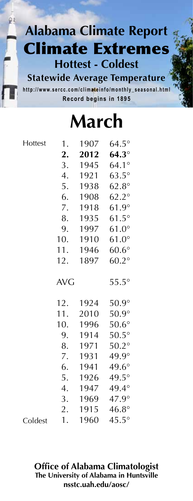**Statewide Average Temperature** http://www.sercc.com/climateinfo/monthly\_seasonal.html **Record begins in 1895**

**March**

**Hottest** 

| Hottest | 1.         | 1907 | $64.5^\circ$ |
|---------|------------|------|--------------|
|         | 2.         | 2012 | $64.3^\circ$ |
|         | 3.         | 1945 | $64.1^\circ$ |
|         | 4.         | 1921 | $63.5^\circ$ |
|         | 5.         | 1938 | $62.8^\circ$ |
|         | 6.         | 1908 | $62.2^\circ$ |
|         | 7.         | 1918 | $61.9^\circ$ |
|         | 8.         | 1935 | $61.5^\circ$ |
|         | 9.         | 1997 | $61.0^\circ$ |
|         | 10.        | 1910 | $61.0^\circ$ |
|         | 11.        | 1946 | $60.6^\circ$ |
|         | 12.        | 1897 | $60.2^\circ$ |
|         | <b>AVG</b> |      | $55.5^\circ$ |
|         | 12.        | 1924 | $50.9^\circ$ |
|         | 11.        | 2010 | $50.9^\circ$ |
|         | 10.        | 1996 | $50.6^\circ$ |
|         | 9.         | 1914 | $50.5^\circ$ |
|         | 8.         | 1971 | $50.2^\circ$ |
|         | 7.         | 1931 | 49.9°        |
|         | 6.         | 1941 | $49.6^\circ$ |
|         | 5.         | 1926 | $49.5^\circ$ |
|         | 4.         | 1947 | $49.4^\circ$ |
|         | 3.         | 1969 | 47.9°        |
|         | 2.         | 1915 | $46.8^\circ$ |
| Coldest | 1.         | 1960 | $45.5^\circ$ |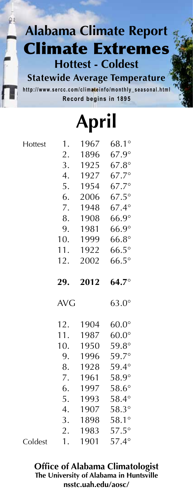**Statewide Average Temperature** http://www.sercc.com/climateinfo/monthly\_seasonal.html **Record begins in 1895**

**April**

|         |                  | $\mathbf{I}$<br>урт н |                              |
|---------|------------------|-----------------------|------------------------------|
| Hottest | 1.               | 1967                  | $68.1^\circ$                 |
|         | 2.               | 1896                  | $67.9^\circ$                 |
|         | 3.               | 1925                  | $67.8^\circ$                 |
|         | 4.               | 1927                  | $67.7^{\circ}$               |
|         | 5.               | 1954                  | $67.7^{\circ}$               |
|         | 6.               | 2006                  | $67.5^\circ$                 |
|         | 7.               | 1948                  | $67.4^\circ$                 |
|         | 8.               | 1908                  | $66.9^\circ$                 |
|         | 9.               | 1981                  | $66.9^\circ$                 |
|         | 10.              | 1999                  | $66.8^\circ$                 |
|         | 11.              | 1922                  | $66.5^\circ$                 |
|         | 12.              | 2002                  | $66.5^\circ$                 |
|         | 29.              | 2012                  | $64.7^\circ$                 |
|         | <b>AVG</b>       |                       | $63.0^\circ$                 |
|         | 12.              | 1904                  | $60.0^\circ$                 |
|         | 11.              | 1987                  | $60.0^\circ$                 |
|         | 10.              | 1950                  | $59.8^\circ$                 |
|         | 9.               | 1996                  | 59.7°                        |
|         | 8.               | 1928                  | $59.4^\circ$                 |
|         | 7.               | 1961                  | $58.9^\circ$                 |
|         | 6.               | 1997                  | $58.6^\circ$                 |
|         | 5.               | 1993                  | $58.4^\circ$                 |
|         | $\overline{4}$ . | 1907                  | $58.3^\circ$                 |
|         |                  |                       |                              |
|         | 3.               | 1898                  | $58.1^\circ$                 |
|         | 2.               | 1983                  | $57.5^\circ$<br>$57.4^\circ$ |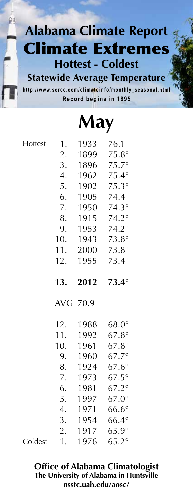**Statewide Average Temperature** http://www.sercc.com/climateinfo/monthly\_seasonal.html **Record begins in 1895**

**May**

|         |                  | IV LA Y      |                              |
|---------|------------------|--------------|------------------------------|
| Hottest | 1.               | 1933         | $76.1^\circ$                 |
|         | 2.               | 1899         | $75.8^\circ$                 |
|         | 3.               | 1896         | $75.7^\circ$                 |
|         | $\overline{4}$ . | 1962         | $75.4^\circ$                 |
|         | 5.               | 1902         | $75.3^\circ$                 |
|         | 6.               | 1905         | $74.4^\circ$                 |
|         | 7.               | 1950         | $74.3^\circ$                 |
|         | 8.               | 1915         | $74.2^\circ$                 |
|         | 9.               | 1953         | $74.2^\circ$                 |
|         | 10.              | 1943         | $73.8^\circ$                 |
|         | 11.              | 2000         | $73.8^\circ$                 |
|         | 12.              | 1955         | $73.4^{\circ}$               |
|         | 13.              | 2012         | $73.4^\circ$                 |
|         | AVG 70.9         |              |                              |
|         | 12.              | 1988         | $68.0^\circ$                 |
|         | 11.              | 1992         | $67.8^\circ$                 |
|         | 10.              | 1961         | $67.8^\circ$                 |
|         | 9.               | 1960         | $67.7^{\circ}$               |
|         | 8.               | 1924         | $67.6^\circ$                 |
|         | 7.               | 1973         | $67.5^\circ$                 |
|         | 6.               | 1981         | $67.2^\circ$                 |
|         |                  |              |                              |
|         | 5.               | 1997         | $67.0^\circ$                 |
|         | 4.               | 1971         | $66.6^\circ$                 |
|         | 3.               | 1954         | $66.4^\circ$                 |
|         | 2.<br>1.         | 1917<br>1976 | $65.9^\circ$<br>$65.2^\circ$ |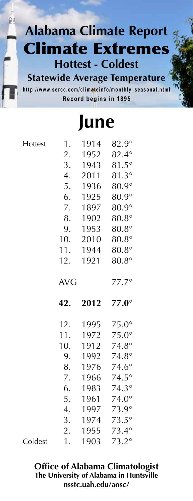**Statewide Average Temperature** http://www.sercc.com/climateinfo/monthly\_seasonal.html **Record begins in 1895**

### **June**

**Hottest** 

Coldest

| 1.         | 1914         | $82.9^\circ$                 |
|------------|--------------|------------------------------|
| 2.         | 1952         | $82.4^\circ$                 |
| 3.         | 1943         | $81.5^\circ$                 |
| 4.         | 2011         | $81.3^\circ$                 |
| 5.         | 1936         | $80.9^\circ$                 |
| 6.         | 1925         | $80.9^\circ$                 |
| 7.         | 1897         | $80.9^\circ$                 |
| 8.         | 1902         | $80.8^\circ$                 |
| 9.         | 1953         | $80.8^\circ$                 |
| 10.        | 2010         | $80.8^\circ$                 |
| 11.        | 1944         | $80.8^\circ$                 |
| 12.        | 1921         | $80.8^\circ$                 |
| <b>AVG</b> |              | $77.7^\circ$                 |
|            |              |                              |
| 42.        | 2012         | $77.0^\circ$                 |
| 12.        | 1995         | $75.0^\circ$                 |
| 11.        | 1972         | $75.0^\circ$                 |
| 10.        | 1912         | $74.8^\circ$                 |
| 9.         | 1992         | $74.8^\circ$                 |
| 8.         | 1976         | $74.6^\circ$                 |
| 7.         | 1966         | $74.5^\circ$                 |
| 6.         | 1983         | $74.3^\circ$                 |
| 5.         | 1961         | $74.0^\circ$                 |
| 4.         | 1997         | $73.9^\circ$                 |
| 3.         | 1974         | $73.5^\circ$                 |
| 2.<br>1.   | 1955<br>1903 | $73.4^\circ$<br>$73.2^\circ$ |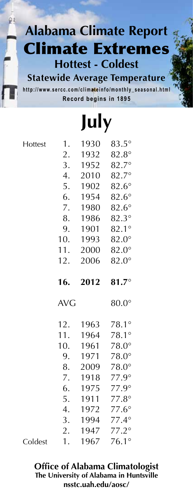**Statewide Average Temperature** http://www.sercc.com/climateinfo/monthly\_seasonal.html **Record begins in 1895**

# **July**

**Hottest** 

Coldest

| 1.         | 1930         | $83.5^\circ$                 |
|------------|--------------|------------------------------|
| 2.         | 1932         | $82.8^\circ$                 |
| 3.         | 1952         | $82.7^\circ$                 |
| 4.         | 2010         | $82.7^\circ$                 |
| 5.         | 1902         | $82.6^\circ$                 |
| 6.         | 1954         | $82.6^\circ$                 |
| 7.         | 1980         | $82.6^\circ$                 |
| 8.         | 1986         | $82.3^\circ$                 |
| 9.         | 1901         | $82.1^{\circ}$               |
| 10.        | 1993         | $82.0^\circ$                 |
| 11.        | 2000         | $82.0^\circ$                 |
| 12.        | 2006         | $82.0^\circ$                 |
|            |              |                              |
| 16.        | 2012         | $81.7^\circ$                 |
|            |              |                              |
| <b>AVG</b> |              | $80.0^\circ$                 |
|            |              |                              |
| 12.        | 1963         | 78.1°                        |
| 11.        | 1964         | $78.1^\circ$                 |
| 10.        | 1961<br>1971 | $78.0^\circ$                 |
| 9.<br>8.   | 2009         | $78.0^\circ$                 |
| 7.         | 1918         | $78.0^\circ$<br>$77.9^\circ$ |
| 6.         | 1975         | $77.9^\circ$                 |
| 5.         | 1911         | $77.8^\circ$                 |
| 4.         | 1972         | $77.6^\circ$                 |
| 3.         | 1994         | $77.4^\circ$                 |
| 2.         | 1947         | $77.2^\circ$                 |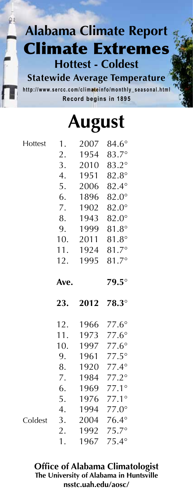**Statewide Average Temperature** http://www.sercc.com/climateinfo/monthly\_seasonal.html **Record begins in 1895**

|  | <b>August</b> |
|--|---------------|
|--|---------------|

| Hottest | 1.   | 2007 | $84.6^\circ$                 |
|---------|------|------|------------------------------|
|         | 2.   | 1954 | 83.7°                        |
|         | 3.   | 2010 | 83.2°                        |
|         | 4.   | 1951 | $82.8^\circ$                 |
|         | 5.   | 2006 | 82.4°                        |
|         | 6.   | 1896 | $82.0^\circ$                 |
|         | 7.   | 1902 | $82.0^\circ$                 |
|         | 8.   | 1943 | $82.0^\circ$                 |
|         | 9.   | 1999 | $81.8^\circ$                 |
|         | 10.  | 2011 | $81.8^\circ$                 |
|         | 11.  | 1924 | 81.7°                        |
|         | 12.  | 1995 | $81.7^{\circ}$               |
|         | Ave. |      | $79.5^\circ$                 |
|         |      |      |                              |
|         | 23.  | 2012 | $78.3^\circ$                 |
|         | 12.  | 1966 | $77.6^\circ$                 |
|         | 11.  | 1973 | $77.6^\circ$                 |
|         | 10.  | 1997 | $77.6^\circ$                 |
|         | 9.   | 1961 | $77.5^\circ$                 |
|         | 8.   | 1920 | $77.4^\circ$                 |
|         | 7.   | 1984 | $77.2^\circ$                 |
|         | 6.   | 1969 | $77.1^{\circ}$               |
|         | 5.   | 1976 | $77.1^\circ$                 |
|         | 4.   | 1994 | $77.0^\circ$                 |
| Coldest | 3.   | 2004 | $76.4^\circ$                 |
|         | 2.   | 1992 | $75.7^\circ$<br>$75.4^\circ$ |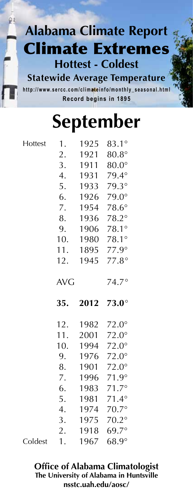**Statewide Average Temperature** http://www.sercc.com/climateinfo/monthly\_seasonal.html **Record begins in 1895**

# **September**

Hotte

| Hottest | 1.         | 1925 | 83.1°                        |
|---------|------------|------|------------------------------|
|         | 2.         | 1921 | $80.8^\circ$                 |
|         | 3.         | 1911 | $80.0^\circ$                 |
|         | 4.         | 1931 | 79.4°                        |
|         | 5.         | 1933 | 79.3°                        |
|         | 6.         | 1926 | $79.0^\circ$                 |
|         | 7.         | 1954 | $78.6^\circ$                 |
|         | 8.         | 1936 | 78.2°                        |
|         | 9.         | 1906 | 78.1°                        |
|         | 10.        | 1980 | 78.1°                        |
|         | 11.        | 1895 | $77.9^\circ$                 |
|         | 12.        | 1945 | $77.8^\circ$                 |
|         | <b>AVG</b> |      | $74.7^\circ$                 |
|         |            |      |                              |
|         | 35.        | 2012 | $73.0^\circ$                 |
|         | 12.        | 1982 | $72.0^\circ$                 |
|         | 11.        | 2001 | $72.0^\circ$                 |
|         | 10.        | 1994 | $72.0^\circ$                 |
|         | 9.         | 1976 | $72.0^\circ$                 |
|         | 8.         | 1901 | $72.0^\circ$                 |
|         | 7.         | 1996 | $71.9^\circ$                 |
|         | 6.         | 1983 | $71.7^{\circ}$               |
|         | 5.         | 1981 | $71.4^{\circ}$               |
|         | 4.         | 1974 | $70.7^\circ$                 |
|         | 3.         | 1975 | $70.2^\circ$                 |
|         | 2.         | 1918 | $69.7^\circ$<br>$68.9^\circ$ |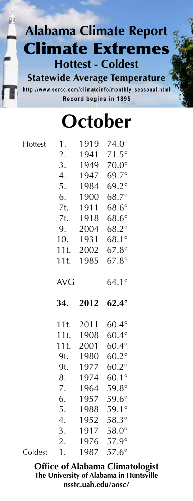**Statewide Average Temperature** http://www.sercc.com/climateinfo/monthly\_seasonal.html **Record begins in 1895**

# **October**

| Hottest | 1.         | 1919      | $74.0^\circ$ |
|---------|------------|-----------|--------------|
|         | 2.         | 1941      | $71.5^\circ$ |
|         | 3.         | 1949      | $70.0^\circ$ |
|         | 4.         | 1947      | 69.7°        |
|         | 5.         | 1984      | $69.2^\circ$ |
|         | 6.         | 1900      | $68.7^\circ$ |
|         | 7t.        | 1911      | $68.6^\circ$ |
|         | 7t.        | 1918      | $68.6^\circ$ |
|         | 9.         | 2004      | $68.2^\circ$ |
|         | 10.        | 1931      | 68.1°        |
|         | 11t.       | 2002      | $67.8^\circ$ |
|         | 11t.       | 1985      | $67.8^\circ$ |
|         | <b>AVG</b> |           | $64.1^\circ$ |
|         |            |           |              |
|         | 34.        | 2012      | $62.4^\circ$ |
|         |            | 11t. 2011 | $60.4^\circ$ |
|         | 11t.       | 1908      | $60.4^\circ$ |
|         | 11t.       | 2001      | $60.4^\circ$ |
|         | 9t.        | 1980      | $60.2^\circ$ |
|         | 9t.        | 1977      | $60.2^\circ$ |
|         | 8.         | 1974      | $60.1^\circ$ |
|         | 7.         | 1964      | $59.8^\circ$ |
|         | 6.         | 1957      | $59.6^\circ$ |
|         | 5.         |           | 1988 59.1°   |
|         | 4.         | 1952      | $58.3^\circ$ |
|         | 3.         |           | 1917 58.0°   |
|         | 2.         | 1976      | $57.9^\circ$ |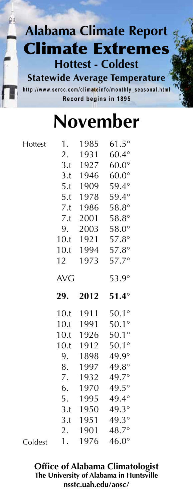**Statewide Average Temperature** http://www.sercc.com/climateinfo/monthly\_seasonal.html **Record begins in 1895**

# **November**

| Hottest | 1.         | 1985 | $61.5^\circ$          |
|---------|------------|------|-----------------------|
|         | 2.         | 1931 | $60.4^\circ$          |
|         | 3.t        | 1927 | $60.0^\circ$          |
|         | 3.t        | 1946 | $60.0^\circ$          |
|         | 5.t        | 1909 | 59.4°                 |
|         | 5.t        | 1978 | 59.4°                 |
|         | 7.t        | 1986 | $58.8^\circ$          |
|         | 7.t        | 2001 | $58.8^\circ$          |
|         | 9.         | 2003 | $58.0^\circ$          |
|         | 10.t       | 1921 | $57.8^\circ$          |
|         | 10.t       | 1994 | $57.8^\circ$          |
|         | 12         | 1973 | 57.7°                 |
|         | <b>AVG</b> |      |                       |
|         | 29.        | 2012 | $51.4^\circ$          |
|         | 10.t       | 1911 | $50.1^\circ$          |
|         | 10.t       | 1991 | $50.1^\circ$          |
|         | 10.t       | 1926 | $50.1^\circ$          |
|         | 10.t       | 1912 | $50.1^\circ$          |
|         |            |      |                       |
|         | 9.         | 1898 | 49.9°                 |
|         | 8.         | 1997 | 49.8°                 |
|         | 7.         | 1932 | 49.7°                 |
|         | 6.         | 1970 | 49.5°                 |
|         | 5.         | 1995 | 49.4°                 |
|         | 3.t        | 1950 | 49.3°                 |
|         | 3.t        | 1951 | 49.3°                 |
|         | 2.<br>1.   | 1901 | 48.7°<br>$46.0^\circ$ |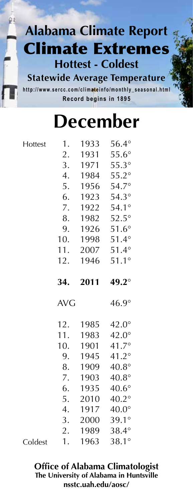**Statewide Average Temperature** http://www.sercc.com/climateinfo/monthly\_seasonal.html **Record begins in 1895**

# **December**

| Hottest | 1.         | 1933 | $56.4^\circ$   |
|---------|------------|------|----------------|
|         | 2.         | 1931 | $55.6^\circ$   |
|         | 3.         | 1971 | $55.3^\circ$   |
|         | 4.         | 1984 | $55.2^\circ$   |
|         | 5.         | 1956 | $54.7^{\circ}$ |
|         | 6.         | 1923 | $54.3^\circ$   |
|         | 7.         | 1922 | $54.1^\circ$   |
|         | 8.         | 1982 | $52.5^\circ$   |
|         | 9.         | 1926 | $51.6^\circ$   |
|         | 10.        | 1998 | $51.4^\circ$   |
|         | 11.        | 2007 | $51.4^\circ$   |
|         | 12.        | 1946 | $51.1^\circ$   |
|         | 34.        | 2011 | 49.2°          |
|         |            |      |                |
|         | <b>AVG</b> |      | $46.9^\circ$   |
|         | 12.        | 1985 | $42.0^\circ$   |
|         | 11.        | 1983 | $42.0^\circ$   |
|         | 10.        | 1901 | 41.7°          |
|         | 9.         | 1945 | $41.2^{\circ}$ |
|         | 8.         | 1909 | $40.8^\circ$   |
|         | 7.         | 1903 | $40.8^\circ$   |
|         | 6.         | 1935 | $40.6^\circ$   |
|         | 5.         | 2010 | $40.2^\circ$   |
|         | 4.         | 1917 | $40.0^\circ$   |
|         | 3.         | 2000 | $39.1^\circ$   |
|         | 2.         | 1989 | 38.4°          |